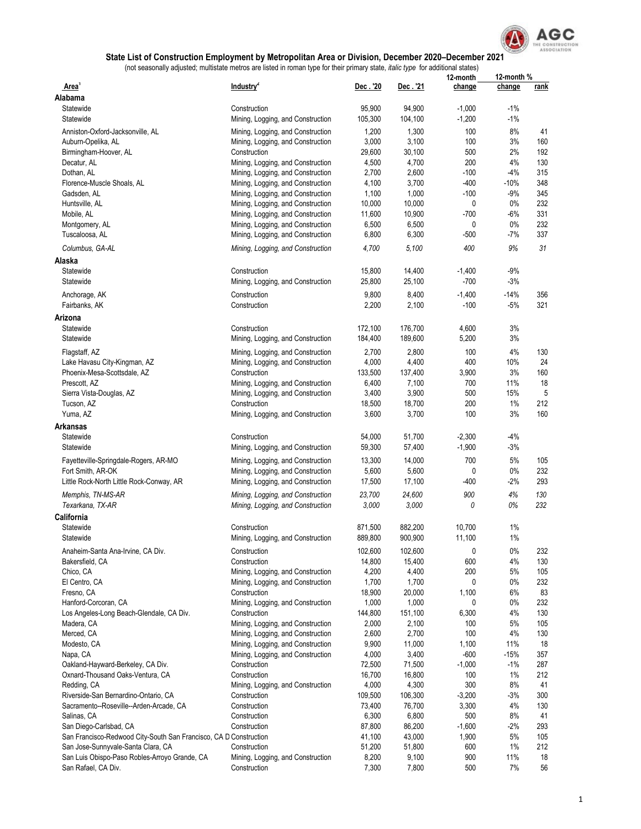

|                                                                   |                                                   |                |                 | 12-month        | 12-month %  |             |
|-------------------------------------------------------------------|---------------------------------------------------|----------------|-----------------|-----------------|-------------|-------------|
| Area <sup>'</sup>                                                 | Industry <sup>2</sup>                             | Dec . '20      | Dec. '21        | change          | change      | <u>rank</u> |
| Alabama                                                           |                                                   |                |                 |                 |             |             |
| Statewide                                                         | Construction                                      | 95,900         | 94,900          | $-1,000$        | $-1\%$      |             |
| Statewide                                                         | Mining, Logging, and Construction                 | 105,300        | 104,100         | $-1,200$        | $-1\%$      |             |
| Anniston-Oxford-Jacksonville, AL                                  | Mining, Logging, and Construction                 | 1,200          | 1,300           | 100             | 8%          | 41          |
| Auburn-Opelika, AL                                                | Mining, Logging, and Construction                 | 3,000          | 3,100           | 100             | 3%          | 160         |
| Birmingham-Hoover, AL                                             | Construction                                      | 29,600         | 30,100          | 500             | 2%          | 192         |
| Decatur, AL                                                       | Mining, Logging, and Construction                 | 4,500          | 4,700           | 200             | 4%          | 130         |
| Dothan, AL                                                        | Mining, Logging, and Construction                 | 2,700          | 2,600           | $-100$          | $-4%$       | 315         |
| Florence-Muscle Shoals, AL                                        | Mining, Logging, and Construction                 | 4,100          | 3,700           | $-400$          | $-10%$      | 348         |
| Gadsden, AL                                                       | Mining, Logging, and Construction                 | 1,100          | 1,000           | $-100$          | -9%         | 345         |
| Huntsville, AL                                                    | Mining, Logging, and Construction                 | 10,000         | 10,000          | 0               | $0\%$       | 232         |
| Mobile, AL                                                        | Mining, Logging, and Construction                 | 11,600         | 10,900          | $-700$          | $-6%$       | 331         |
| Montgomery, AL                                                    | Mining, Logging, and Construction                 | 6,500          | 6,500           | 0               | $0\%$       | 232         |
| Tuscaloosa, AL                                                    | Mining, Logging, and Construction                 | 6,800          | 6,300           | $-500$          | $-7%$       | 337         |
| Columbus, GA-AL                                                   | Mining, Logging, and Construction                 | 4,700          | 5,100           | 400             | 9%          | 31          |
| Alaska                                                            |                                                   |                |                 |                 |             |             |
| Statewide                                                         | Construction                                      | 15,800         | 14,400          | $-1,400$        | $-9%$       |             |
| Statewide                                                         | Mining, Logging, and Construction                 | 25,800         | 25,100          | $-700$          | $-3%$       |             |
|                                                                   |                                                   |                |                 |                 |             |             |
| Anchorage, AK                                                     | Construction                                      | 9,800          | 8,400           | $-1,400$        | $-14%$      | 356         |
| Fairbanks, AK                                                     | Construction                                      | 2,200          | 2,100           | $-100$          | $-5%$       | 321         |
| Arizona                                                           |                                                   |                |                 |                 |             |             |
| Statewide                                                         | Construction                                      | 172,100        | 176,700         | 4,600           | 3%          |             |
| Statewide                                                         | Mining, Logging, and Construction                 | 184,400        | 189,600         | 5,200           | 3%          |             |
| Flagstaff, AZ                                                     | Mining, Logging, and Construction                 | 2,700          | 2,800           | 100             | 4%          | 130         |
| Lake Havasu City-Kingman, AZ                                      | Mining, Logging, and Construction                 | 4,000          | 4,400           | 400             | 10%         | 24          |
| Phoenix-Mesa-Scottsdale, AZ                                       | Construction                                      | 133,500        | 137,400         | 3,900           | 3%          | 160         |
| Prescott, AZ                                                      | Mining, Logging, and Construction                 | 6,400          | 7,100           | 700             | 11%         | 18          |
| Sierra Vista-Douglas, AZ                                          | Mining, Logging, and Construction                 | 3,400          | 3,900           | 500             | 15%         | 5           |
| Tucson, AZ                                                        | Construction                                      | 18,500         | 18,700          | 200             | $1\%$       | 212         |
| Yuma, AZ                                                          | Mining, Logging, and Construction                 | 3,600          | 3,700           | 100             | 3%          | 160         |
| Arkansas                                                          |                                                   |                |                 |                 |             |             |
| Statewide                                                         | Construction                                      | 54,000         | 51,700          | $-2,300$        | $-4%$       |             |
| Statewide                                                         | Mining, Logging, and Construction                 | 59,300         | 57,400          | $-1,900$        | $-3%$       |             |
|                                                                   |                                                   |                |                 |                 |             |             |
| Fayetteville-Springdale-Rogers, AR-MO                             | Mining, Logging, and Construction                 | 13,300         | 14,000          | 700             | 5%          | 105         |
| Fort Smith, AR-OK                                                 | Mining, Logging, and Construction                 | 5,600          | 5,600           | 0               | $0\%$       | 232         |
| Little Rock-North Little Rock-Conway, AR                          | Mining, Logging, and Construction                 | 17,500         | 17,100          | -400            | $-2%$       | 293         |
| Memphis, TN-MS-AR                                                 | Mining, Logging, and Construction                 | 23,700         | 24,600          | 900             | 4%          | 130         |
| Texarkana, TX-AR                                                  | Mining, Logging, and Construction                 | 3,000          | 3,000           | 0               | 0%          | 232         |
| California                                                        |                                                   |                |                 |                 |             |             |
| Statewide                                                         | Construction                                      | 871,500        | 882,200         | 10,700          | 1%          |             |
| Statewide                                                         | Mining, Logging, and Construction                 | 889,800        | 900,900         | 11,100          | 1%          |             |
| Anaheim-Santa Ana-Irvine, CA Div.                                 | Construction                                      | 102,600        | 102,600         | 0               | $0\%$       | 232         |
| Bakersfield, CA                                                   | Construction                                      | 14,800         | 15,400          | 600             | 4%          | 130         |
| Chico, CA                                                         | Mining, Logging, and Construction                 | 4,200          | 4,400           | 200             | 5%          | 105         |
| El Centro, CA                                                     | Mining, Logging, and Construction                 | 1,700          | 1,700           | 0               | $0\%$       | 232         |
| Fresno, CA                                                        | Construction                                      | 18,900         | 20,000          | 1,100           | 6%          | 83          |
| Hanford-Corcoran, CA                                              | Mining, Logging, and Construction                 | 1,000          | 1,000           | 0               | $0\%$       | 232         |
| Los Angeles-Long Beach-Glendale, CA Div.                          | Construction                                      | 144,800        | 151,100         | 6,300           | 4%          | 130         |
| Madera, CA                                                        | Mining, Logging, and Construction                 | 2,000          | 2,100           | 100             | 5%          | 105         |
| Merced, CA                                                        | Mining, Logging, and Construction                 | 2,600          | 2,700           | 100             | 4%          | 130         |
| Modesto, CA                                                       | Mining, Logging, and Construction                 |                | 11,000          |                 | 11%         | 18          |
|                                                                   |                                                   | 9,900<br>4,000 |                 | 1,100<br>$-600$ | $-15%$      | 357         |
| Napa, CA<br>Oakland-Hayward-Berkeley, CA Div.                     | Mining, Logging, and Construction<br>Construction | 72,500         | 3,400<br>71,500 | $-1,000$        | $-1\%$      | 287         |
| Oxnard-Thousand Oaks-Ventura, CA                                  | Construction                                      | 16,700         | 16,800          | 100             | 1%          | 212         |
|                                                                   |                                                   | 4,000          |                 | 300             | 8%          | 41          |
| Redding, CA                                                       | Mining, Logging, and Construction                 |                | 4,300           |                 |             |             |
| Riverside-San Bernardino-Ontario, CA                              | Construction                                      | 109,500        | 106,300         | $-3,200$        | $-3%$<br>4% | 300         |
| Sacramento--Roseville--Arden-Arcade, CA                           | Construction                                      | 73,400         | 76,700          | 3,300           |             | 130         |
| Salinas, CA                                                       | Construction                                      | 6,300          | 6,800           | 500             | 8%          | 41          |
| San Diego-Carlsbad, CA                                            | Construction                                      | 87,800         | 86,200          | $-1,600$        | $-2%$       | 293         |
| San Francisco-Redwood City-South San Francisco, CA D Construction |                                                   | 41,100         | 43,000          | 1,900           | 5%          | 105         |
| San Jose-Sunnyvale-Santa Clara, CA                                | Construction                                      | 51,200         | 51,800          | 600             | $1\%$       | 212         |
| San Luis Obispo-Paso Robles-Arroyo Grande, CA                     | Mining, Logging, and Construction                 | 8,200          | 9,100           | 900             | 11%         | 18          |
| San Rafael, CA Div.                                               | Construction                                      | 7,300          | 7,800           | 500             | $7\%$       | 56          |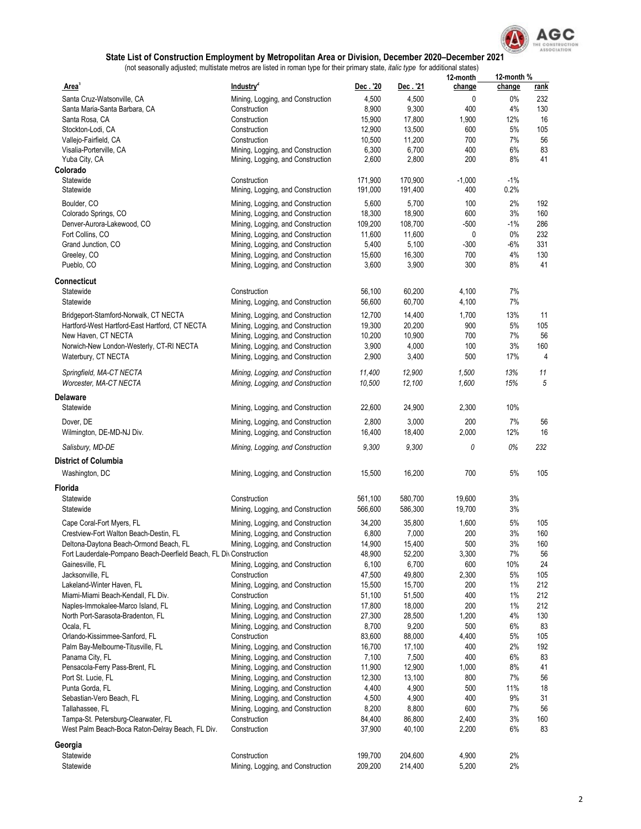

|                                                                                       |                                                                        |                  |                    | 12-month       | 12-month %   |                    |
|---------------------------------------------------------------------------------------|------------------------------------------------------------------------|------------------|--------------------|----------------|--------------|--------------------|
| Area <sup>1</sup>                                                                     | Industry <sup>2</sup>                                                  | Dec.'20<br>4,500 | Dec . '21<br>4,500 | change<br>0    | change<br>0% | <u>rank</u><br>232 |
| Santa Cruz-Watsonville, CA<br>Santa Maria-Santa Barbara, CA                           | Mining, Logging, and Construction<br>Construction                      | 8,900            | 9,300              | 400            | 4%           | 130                |
| Santa Rosa, CA                                                                        | Construction                                                           | 15,900           | 17,800             | 1,900          | 12%          | 16                 |
| Stockton-Lodi, CA                                                                     | Construction                                                           | 12,900           | 13,500             | 600            | 5%           | 105                |
| Vallejo-Fairfield, CA                                                                 | Construction                                                           | 10,500           | 11,200             | 700            | 7%           | 56                 |
| Visalia-Porterville, CA                                                               | Mining, Logging, and Construction                                      | 6,300            | 6,700              | 400            | 6%           | 83                 |
| Yuba City, CA                                                                         | Mining, Logging, and Construction                                      | 2,600            | 2,800              | 200            | 8%           | 41                 |
| Colorado                                                                              |                                                                        |                  |                    |                |              |                    |
| Statewide                                                                             | Construction                                                           | 171,900          | 170,900            | $-1,000$       | $-1\%$       |                    |
| Statewide                                                                             | Mining, Logging, and Construction                                      | 191,000          | 191,400            | 400            | 0.2%         |                    |
| Boulder, CO                                                                           | Mining, Logging, and Construction                                      | 5,600            | 5,700              | 100            | 2%           | 192                |
| Colorado Springs, CO                                                                  | Mining, Logging, and Construction                                      | 18,300           | 18,900             | 600            | 3%           | 160                |
| Denver-Aurora-Lakewood, CO                                                            | Mining, Logging, and Construction                                      | 109,200          | 108,700            | $-500$<br>0    | $-1%$<br>0%  | 286<br>232         |
| Fort Collins, CO<br>Grand Junction, CO                                                | Mining, Logging, and Construction<br>Mining, Logging, and Construction | 11,600<br>5,400  | 11,600<br>5,100    | $-300$         | -6%          | 331                |
| Greeley, CO                                                                           | Mining, Logging, and Construction                                      | 15,600           | 16,300             | 700            | 4%           | 130                |
| Pueblo, CO                                                                            | Mining, Logging, and Construction                                      | 3,600            | 3,900              | 300            | 8%           | 41                 |
|                                                                                       |                                                                        |                  |                    |                |              |                    |
| Connecticut                                                                           | Construction                                                           |                  |                    |                |              |                    |
| Statewide<br>Statewide                                                                | Mining, Logging, and Construction                                      | 56,100<br>56,600 | 60,200<br>60,700   | 4,100<br>4,100 | 7%<br>7%     |                    |
|                                                                                       |                                                                        |                  |                    |                |              |                    |
| Bridgeport-Stamford-Norwalk, CT NECTA                                                 | Mining, Logging, and Construction                                      | 12,700           | 14,400             | 1,700          | 13%          | 11                 |
| Hartford-West Hartford-East Hartford, CT NECTA<br>New Haven, CT NECTA                 | Mining, Logging, and Construction<br>Mining, Logging, and Construction | 19,300<br>10,200 | 20,200<br>10,900   | 900<br>700     | 5%<br>7%     | 105<br>56          |
| Norwich-New London-Westerly, CT-RI NECTA                                              | Mining, Logging, and Construction                                      | 3,900            | 4,000              | 100            | 3%           | 160                |
| Waterbury, CT NECTA                                                                   | Mining, Logging, and Construction                                      | 2,900            | 3,400              | 500            | 17%          | 4                  |
|                                                                                       |                                                                        |                  |                    |                |              |                    |
| Springfield, MA-CT NECTA                                                              | Mining, Logging, and Construction                                      | 11,400           | 12,900             | 1,500          | 13%          | 11                 |
| Worcester, MA-CT NECTA                                                                | Mining, Logging, and Construction                                      | 10,500           | 12,100             | 1,600          | 15%          | 5                  |
| Delaware                                                                              |                                                                        |                  |                    |                |              |                    |
| Statewide                                                                             | Mining, Logging, and Construction                                      | 22,600           | 24,900             | 2,300          | 10%          |                    |
| Dover, DE                                                                             | Mining, Logging, and Construction                                      | 2,800            | 3,000              | 200            | 7%           | 56                 |
| Wilmington, DE-MD-NJ Div.                                                             | Mining, Logging, and Construction                                      | 16,400           | 18,400             | 2,000          | 12%          | 16                 |
| Salisbury, MD-DE                                                                      | Mining, Logging, and Construction                                      | 9,300            | 9,300              | 0              | 0%           | 232                |
| District of Columbia                                                                  |                                                                        |                  |                    |                |              |                    |
| Washington, DC                                                                        | Mining, Logging, and Construction                                      | 15,500           | 16,200             | 700            | 5%           | 105                |
|                                                                                       |                                                                        |                  |                    |                |              |                    |
| Florida                                                                               |                                                                        |                  |                    |                |              |                    |
| Statewide                                                                             | Construction                                                           | 561,100          | 580,700            | 19,600         | 3%           |                    |
| Statewide                                                                             | Mining, Logging, and Construction                                      | 566,600          | 586,300            | 19,700         | 3%           |                    |
| Cape Coral-Fort Myers, FL                                                             | Mining, Logging, and Construction                                      | 34,200           | 35,800             | 1,600          | 5%           | 105                |
| Crestview-Fort Walton Beach-Destin, FL                                                | Mining, Logging, and Construction                                      | 6,800            | 7,000              | 200            | 3%           | 160                |
| Deltona-Daytona Beach-Ormond Beach, FL                                                | Mining, Logging, and Construction                                      | 14,900           | 15,400             | 500            | 3%           | 160                |
| Fort Lauderdale-Pompano Beach-Deerfield Beach, FL Div Construction<br>Gainesville, FL | Mining, Logging, and Construction                                      | 48,900<br>6,100  | 52,200<br>6,700    | 3,300<br>600   | 7%<br>10%    | 56<br>24           |
| Jacksonville, FL                                                                      | Construction                                                           | 47,500           | 49,800             | 2,300          | 5%           | 105                |
| Lakeland-Winter Haven, FL                                                             | Mining, Logging, and Construction                                      | 15,500           | 15,700             | 200            | 1%           | 212                |
| Miami-Miami Beach-Kendall, FL Div.                                                    | Construction                                                           | 51,100           | 51,500             | 400            | 1%           | 212                |
| Naples-Immokalee-Marco Island, FL                                                     | Mining, Logging, and Construction                                      | 17,800           | 18,000             | 200            | $1\%$        | 212                |
| North Port-Sarasota-Bradenton, FL                                                     | Mining, Logging, and Construction                                      | 27,300           | 28,500             | 1,200          | 4%           | 130                |
| Ocala, FL                                                                             | Mining, Logging, and Construction                                      | 8,700            | 9,200              | 500            | 6%           | 83                 |
| Orlando-Kissimmee-Sanford, FL                                                         | Construction                                                           | 83,600           | 88,000             | 4,400          | 5%           | 105                |
| Palm Bay-Melbourne-Titusville, FL                                                     | Mining, Logging, and Construction                                      | 16,700           | 17,100             | 400            | 2%           | 192                |
| Panama City, FL<br>Pensacola-Ferry Pass-Brent, FL                                     | Mining, Logging, and Construction<br>Mining, Logging, and Construction | 7,100<br>11,900  | 7,500<br>12,900    | 400<br>1,000   | 6%<br>8%     | 83<br>41           |
| Port St. Lucie, FL                                                                    | Mining, Logging, and Construction                                      | 12,300           | 13,100             | 800            | 7%           | 56                 |
| Punta Gorda, FL                                                                       | Mining, Logging, and Construction                                      | 4,400            | 4,900              | 500            | 11%          | 18                 |
| Sebastian-Vero Beach, FL                                                              | Mining, Logging, and Construction                                      | 4,500            | 4,900              | 400            | 9%           | 31                 |
| Tallahassee, FL                                                                       | Mining, Logging, and Construction                                      | 8,200            | 8,800              | 600            | 7%           | 56                 |
| Tampa-St. Petersburg-Clearwater, FL                                                   | Construction                                                           | 84,400           | 86,800             | 2,400          | 3%           | 160                |
| West Palm Beach-Boca Raton-Delray Beach, FL Div.                                      | Construction                                                           | 37,900           | 40,100             | 2,200          | 6%           | 83                 |
| Georgia                                                                               |                                                                        |                  |                    |                |              |                    |
| Statewide                                                                             | Construction                                                           | 199,700          | 204,600            | 4,900          | 2%           |                    |
| Statewide                                                                             | Mining, Logging, and Construction                                      | 209,200          | 214,400            | 5,200          | 2%           |                    |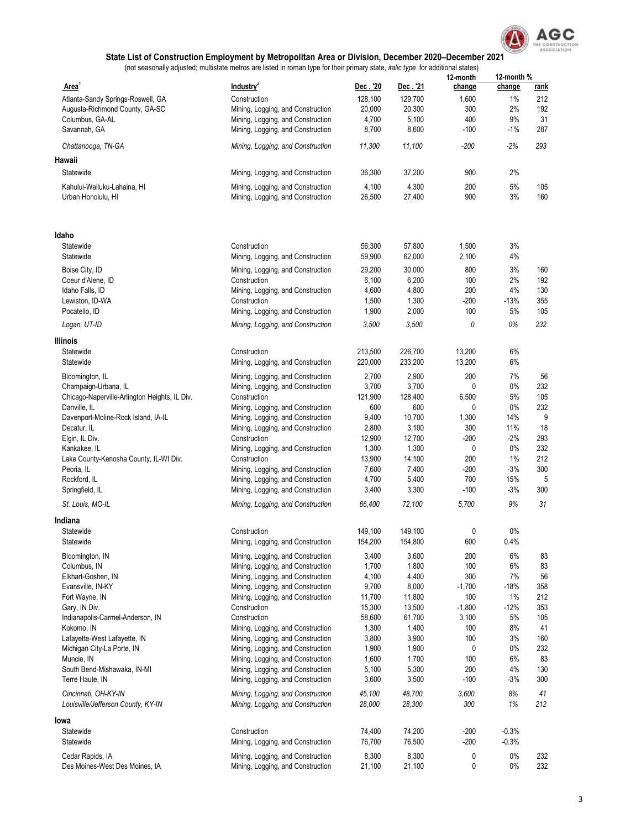

|                                                            |                                                                        |                    |                    | 12-month      | 12-month %    |            |
|------------------------------------------------------------|------------------------------------------------------------------------|--------------------|--------------------|---------------|---------------|------------|
| Area <sup>'</sup>                                          | Industry <sup>2</sup>                                                  | Dec . '20          | Dec. '21           | change        | change        | rank       |
| Atlanta-Sandy Springs-Roswell, GA                          | Construction                                                           | 128,100            | 129,700            | 1,600         | $1\%$         | 212        |
| Augusta-Richmond County, GA-SC                             | Mining, Logging, and Construction                                      | 20,000             | 20,300             | 300           | 2%            | 192        |
| Columbus, GA-AL                                            | Mining, Logging, and Construction                                      | 4,700              | 5,100              | 400           | 9%            | 31         |
| Savannah, GA                                               | Mining, Logging, and Construction                                      | 8,700              | 8,600              | $-100$        | $-1\%$        | 287        |
| Chattanooga, TN-GA                                         | Mining, Logging, and Construction                                      | 11,300             | 11,100             | $-200$        | $-2%$         | 293        |
| Hawaii                                                     |                                                                        |                    |                    |               |               |            |
| Statewide                                                  | Mining, Logging, and Construction                                      | 36,300             | 37,200             | 900           | 2%            |            |
| Kahului-Wailuku-Lahaina, HI                                | Mining, Logging, and Construction                                      | 4,100              | 4,300              | 200           | 5%            | 105        |
| Urban Honolulu, HI                                         | Mining, Logging, and Construction                                      | 26,500             | 27,400             | 900           | 3%            | 160        |
| Idaho                                                      |                                                                        |                    |                    |               |               |            |
| Statewide                                                  | Construction                                                           | 56,300             | 57,800             | 1,500         | 3%            |            |
| Statewide                                                  | Mining, Logging, and Construction                                      | 59,900             | 62,000             | 2,100         | 4%            |            |
|                                                            |                                                                        |                    |                    |               |               |            |
| Boise City, ID                                             | Mining, Logging, and Construction                                      | 29,200             | 30,000             | 800           | 3%            | 160<br>192 |
| Coeur d'Alene, ID<br>Idaho Falls, ID                       | Construction<br>Mining, Logging, and Construction                      | 6,100<br>4,600     | 6,200<br>4,800     | 100<br>200    | 2%<br>4%      | 130        |
| Lewiston, ID-WA                                            | Construction                                                           | 1,500              | 1,300              | -200          | $-13%$        | 355        |
| Pocatello, ID                                              | Mining, Logging, and Construction                                      | 1,900              | 2,000              | 100           | 5%            | 105        |
|                                                            |                                                                        |                    |                    | 0             | 0%            | 232        |
| Logan, UT-ID                                               | Mining, Logging, and Construction                                      | 3,500              | 3,500              |               |               |            |
| Illinois                                                   |                                                                        |                    |                    |               |               |            |
| Statewide                                                  | Construction                                                           | 213,500            | 226,700            | 13,200        | 6%            |            |
| Statewide                                                  | Mining, Logging, and Construction                                      | 220,000            | 233,200            | 13,200        | 6%            |            |
| Bloomington, IL                                            | Mining, Logging, and Construction                                      | 2,700              | 2,900              | 200           | 7%            | 56         |
| Champaign-Urbana, IL                                       | Mining, Logging, and Construction                                      | 3,700              | 3,700              | 0             | $0\%$         | 232        |
| Chicago-Naperville-Arlington Heights, IL Div.              | Construction                                                           | 121,900            | 128,400            | 6,500         | 5%            | 105        |
| Danville, IL                                               | Mining, Logging, and Construction                                      | 600                | 600                | 0             | $0\%$         | 232        |
| Davenport-Moline-Rock Island, IA-IL                        | Mining, Logging, and Construction                                      | 9,400              | 10,700             | 1,300         | 14%           | 9          |
| Decatur, IL                                                | Mining, Logging, and Construction                                      | 2,800              | 3,100              | 300           | 11%           | 18         |
| Elgin, IL Div.                                             | Construction                                                           | 12,900             | 12,700             | $-200$        | $-2%$         | 293        |
| Kankakee, IL                                               | Mining, Logging, and Construction                                      | 1,300              | 1,300              | 0             | $0\%$         | 232        |
| Lake County-Kenosha County, IL-WI Div.                     | Construction                                                           | 13,900             | 14,100             | 200           | 1%<br>$-3%$   | 212<br>300 |
| Peoria, IL                                                 | Mining, Logging, and Construction                                      | 7,600<br>4,700     | 7,400              | $-200$<br>700 | 15%           |            |
| Rockford, IL<br>Springfield, IL                            | Mining, Logging, and Construction<br>Mining, Logging, and Construction | 3,400              | 5,400<br>3,300     | $-100$        | $-3%$         | 5<br>300   |
| St. Louis, MO-IL                                           | Mining, Logging, and Construction                                      | 66,400             | 72,100             | 5,700         | 9%            | 31         |
|                                                            |                                                                        |                    |                    |               |               |            |
| Indiana                                                    |                                                                        |                    |                    |               |               |            |
| Statewide<br>Statewide                                     | Construction<br>Mining, Logging, and Construction                      | 149,100<br>154,200 | 149,100<br>154,800 | 0<br>600      | $0\%$<br>0.4% |            |
|                                                            |                                                                        |                    |                    |               |               |            |
| Bloomington, IN                                            | Mining, Logging, and Construction                                      | 3,400              | 3,600              | 200           | 6%            | 83         |
| Columbus, IN<br>Elkhart-Goshen, IN                         | Mining, Logging, and Construction                                      | 1,700              | 1,800              | 100<br>300    | 6%<br>7%      | 83<br>56   |
| Evansville, IN-KY                                          | Mining, Logging, and Construction<br>Mining, Logging, and Construction | 4,100<br>9,700     | 4,400<br>8,000     | $-1,700$      | $-18%$        | 358        |
| Fort Wayne, IN                                             | Mining, Logging, and Construction                                      | 11,700             | 11,800             | 100           | $1\%$         | 212        |
| Gary, IN Div.                                              | Construction                                                           | 15,300             | 13,500             | $-1,800$      | $-12%$        | 353        |
| Indianapolis-Carmel-Anderson, IN                           | Construction                                                           | 58,600             | 61,700             | 3,100         | 5%            | 105        |
| Kokomo, IN                                                 | Mining, Logging, and Construction                                      | 1,300              | 1,400              | 100           | 8%            | 41         |
| Lafayette-West Lafayette, IN                               | Mining, Logging, and Construction                                      | 3,800              | 3,900              | 100           | 3%            | 160        |
| Michigan City-La Porte, IN                                 | Mining, Logging, and Construction                                      | 1,900              | 1,900              | 0             | $0\%$         | 232        |
| Muncie, IN                                                 | Mining, Logging, and Construction                                      | 1,600              | 1,700              | 100           | 6%            | 83         |
| South Bend-Mishawaka, IN-MI                                | Mining, Logging, and Construction                                      | 5,100              | 5,300              | 200           | 4%            | 130        |
| Terre Haute, IN                                            | Mining, Logging, and Construction                                      | 3,600              | 3,500              | $-100$        | $-3%$         | 300        |
| Cincinnati, OH-KY-IN<br>Louisville/Jefferson County, KY-IN | Mining, Logging, and Construction<br>Mining, Logging, and Construction | 45,100<br>28,000   | 48,700<br>28,300   | 3,600<br>300  | 8%<br>1%      | 41<br>212  |
| lowa                                                       |                                                                        |                    |                    |               |               |            |
| Statewide                                                  | Construction                                                           | 74,400             | 74,200             | $-200$        | $-0.3%$       |            |
| Statewide                                                  | Mining, Logging, and Construction                                      | 76,700             | 76,500             | $-200$        | $-0.3%$       |            |
| Cedar Rapids, IA<br>Des Moines-West Des Moines, IA         | Mining, Logging, and Construction<br>Mining, Logging, and Construction | 8,300<br>21,100    | 8,300<br>21,100    | 0<br>0        | $0\%$<br>0%   | 232<br>232 |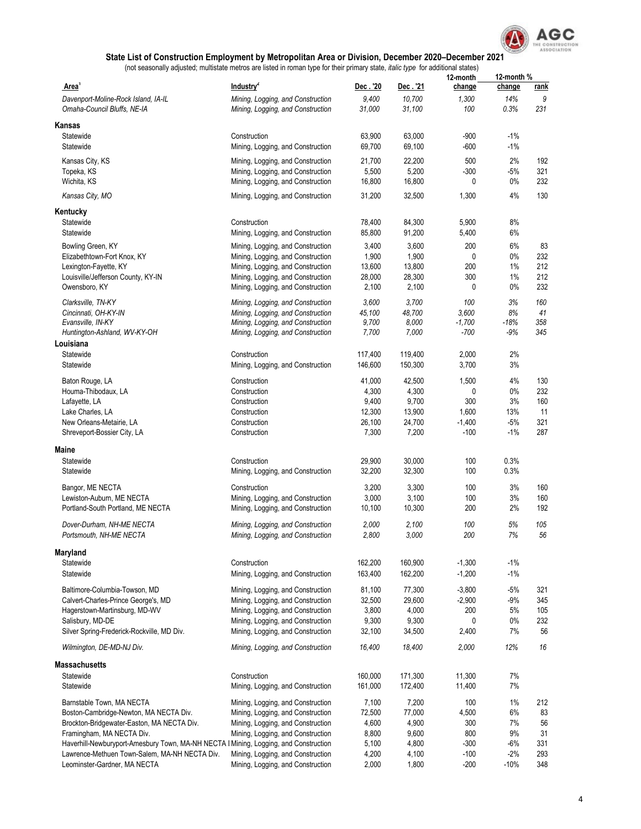

|                                                                                      |                                   |         |          | 12-month | 12-month %  |             |
|--------------------------------------------------------------------------------------|-----------------------------------|---------|----------|----------|-------------|-------------|
| Area <sup>1</sup>                                                                    | Industry <sup>2</sup>             | Dec.'20 | Dec. '21 | change   | change      | <u>rank</u> |
| Davenport-Moline-Rock Island, IA-IL                                                  | Mining, Logging, and Construction | 9,400   | 10,700   | 1,300    | 14%         | 9           |
| Omaha-Council Bluffs, NE-IA                                                          | Mining, Logging, and Construction | 31,000  | 31,100   | 100      | 0.3%        | 231         |
|                                                                                      |                                   |         |          |          |             |             |
| Kansas                                                                               |                                   |         |          |          |             |             |
| Statewide                                                                            | Construction                      | 63,900  | 63,000   | $-900$   | $-1\%$      |             |
| Statewide                                                                            | Mining, Logging, and Construction | 69,700  | 69,100   | $-600$   | $-1\%$      |             |
| Kansas City, KS                                                                      | Mining, Logging, and Construction | 21,700  | 22,200   | 500      | 2%          | 192         |
| Topeka, KS                                                                           | Mining, Logging, and Construction | 5,500   | 5,200    | $-300$   | $-5%$       | 321         |
| Wichita, KS                                                                          | Mining, Logging, and Construction | 16,800  | 16,800   | 0        | $0\%$       | 232         |
| Kansas City, MO                                                                      | Mining, Logging, and Construction | 31,200  | 32,500   | 1,300    | 4%          | 130         |
| Kentucky                                                                             |                                   |         |          |          |             |             |
| Statewide                                                                            | Construction                      | 78,400  | 84,300   | 5,900    | 8%          |             |
| Statewide                                                                            | Mining, Logging, and Construction | 85,800  | 91,200   | 5,400    | 6%          |             |
|                                                                                      |                                   |         |          |          |             |             |
| Bowling Green, KY                                                                    | Mining, Logging, and Construction | 3,400   | 3,600    | 200      | 6%          | 83          |
| Elizabethtown-Fort Knox, KY                                                          | Mining, Logging, and Construction | 1,900   | 1,900    | 0        | $0\%$       | 232         |
| Lexington-Fayette, KY                                                                | Mining, Logging, and Construction | 13,600  | 13,800   | 200      | $1\%$       | 212         |
| Louisville/Jefferson County, KY-IN                                                   | Mining, Logging, and Construction | 28,000  | 28,300   | 300      | $1\%$       | 212         |
| Owensboro, KY                                                                        | Mining, Logging, and Construction | 2,100   | 2,100    | 0        | 0%          | 232         |
| Clarksville, TN-KY                                                                   | Mining, Logging, and Construction | 3,600   | 3,700    | 100      | 3%          | 160         |
| Cincinnati, OH-KY-IN                                                                 | Mining, Logging, and Construction | 45,100  | 48,700   | 3,600    | 8%          | 41          |
| Evansville, IN-KY                                                                    | Mining, Logging, and Construction | 9,700   | 8,000    | $-1,700$ | $-18%$      | 358         |
| Huntington-Ashland, WV-KY-OH                                                         | Mining, Logging, and Construction | 7,700   | 7,000    | $-700$   | -9%         | 345         |
| Louisiana                                                                            |                                   |         |          |          |             |             |
| Statewide                                                                            | Construction                      | 117,400 | 119,400  | 2,000    | 2%          |             |
| Statewide                                                                            | Mining, Logging, and Construction | 146,600 | 150,300  | 3,700    | 3%          |             |
|                                                                                      |                                   |         |          |          |             |             |
| Baton Rouge, LA                                                                      | Construction                      | 41,000  | 42,500   | 1,500    | 4%<br>0%    | 130         |
| Houma-Thibodaux, LA                                                                  | Construction                      | 4,300   | 4,300    | 0        |             | 232         |
| Lafayette, LA                                                                        | Construction                      | 9,400   | 9,700    | 300      | 3%          | 160         |
| Lake Charles, LA                                                                     | Construction                      | 12,300  | 13,900   | 1,600    | 13%         | 11          |
| New Orleans-Metairie, LA                                                             | Construction                      | 26,100  | 24,700   | $-1,400$ | $-5%$       | 321         |
| Shreveport-Bossier City, LA                                                          | Construction                      | 7,300   | 7,200    | $-100$   | $-1\%$      | 287         |
| Maine                                                                                |                                   |         |          |          |             |             |
| Statewide                                                                            | Construction                      | 29,900  | 30,000   | 100      | 0.3%        |             |
| Statewide                                                                            | Mining, Logging, and Construction | 32,200  | 32,300   | 100      | 0.3%        |             |
| Bangor, ME NECTA                                                                     | Construction                      | 3,200   | 3,300    | 100      | 3%          | 160         |
| Lewiston-Auburn, ME NECTA                                                            | Mining, Logging, and Construction | 3,000   | 3,100    | 100      | 3%          | 160         |
| Portland-South Portland, ME NECTA                                                    | Mining, Logging, and Construction | 10,100  | 10,300   | 200      | 2%          | 192         |
|                                                                                      |                                   |         |          |          |             |             |
| Dover-Durham, NH-ME NECTA                                                            | Mining, Logging, and Construction | 2,000   | 2,100    | 100      | 5%          | 105         |
| Portsmouth, NH-ME NECTA                                                              | Mining, Logging, and Construction | 2,800   | 3,000    | 200      | 7%          | 56          |
| Maryland                                                                             |                                   |         |          |          |             |             |
| Statewide                                                                            | Construction                      | 162,200 | 160,900  | $-1,300$ | $-1\%$      |             |
| Statewide                                                                            | Mining, Logging, and Construction | 163,400 | 162,200  | $-1,200$ | $-1%$       |             |
| Baltimore-Columbia-Towson, MD                                                        | Mining, Logging, and Construction | 81,100  | 77,300   | $-3,800$ | $-5%$       | 321         |
|                                                                                      |                                   |         |          |          |             |             |
| Calvert-Charles-Prince George's, MD                                                  | Mining, Logging, and Construction | 32,500  | 29,600   | $-2,900$ | $-9%$       | 345         |
| Hagerstown-Martinsburg, MD-WV                                                        | Mining, Logging, and Construction | 3,800   | 4,000    | 200      | 5%          | 105         |
| Salisbury, MD-DE<br>Silver Spring-Frederick-Rockville, MD Div.                       | Mining, Logging, and Construction | 9,300   | 9,300    | 0        | $0\%$<br>7% | 232<br>56   |
|                                                                                      | Mining, Logging, and Construction | 32,100  | 34,500   | 2,400    |             |             |
| Wilmington, DE-MD-NJ Div.                                                            | Mining, Logging, and Construction | 16,400  | 18,400   | 2,000    | 12%         | 16          |
| <b>Massachusetts</b>                                                                 |                                   |         |          |          |             |             |
| Statewide                                                                            | Construction                      | 160,000 | 171,300  | 11,300   | 7%          |             |
| Statewide                                                                            | Mining, Logging, and Construction | 161,000 | 172,400  | 11,400   | 7%          |             |
|                                                                                      |                                   |         |          |          |             |             |
| Barnstable Town, MA NECTA                                                            | Mining, Logging, and Construction | 7,100   | 7,200    | 100      | $1\%$       | 212         |
| Boston-Cambridge-Newton, MA NECTA Div.                                               | Mining, Logging, and Construction | 72,500  | 77,000   | 4,500    | 6%          | 83          |
| Brockton-Bridgewater-Easton, MA NECTA Div.                                           | Mining, Logging, and Construction | 4,600   | 4,900    | 300      | 7%          | 56          |
| Framingham, MA NECTA Div.                                                            | Mining, Logging, and Construction | 8,800   | 9,600    | 800      | 9%          | 31          |
| Haverhill-Newburyport-Amesbury Town, MA-NH NECTA I Mining, Logging, and Construction |                                   | 5,100   | 4,800    | $-300$   | -6%         | 331         |
| Lawrence-Methuen Town-Salem, MA-NH NECTA Div.                                        | Mining, Logging, and Construction | 4,200   | 4,100    | $-100$   | $-2%$       | 293         |
| Leominster-Gardner, MA NECTA                                                         | Mining, Logging, and Construction | 2,000   | 1,800    | $-200$   | $-10%$      | 348         |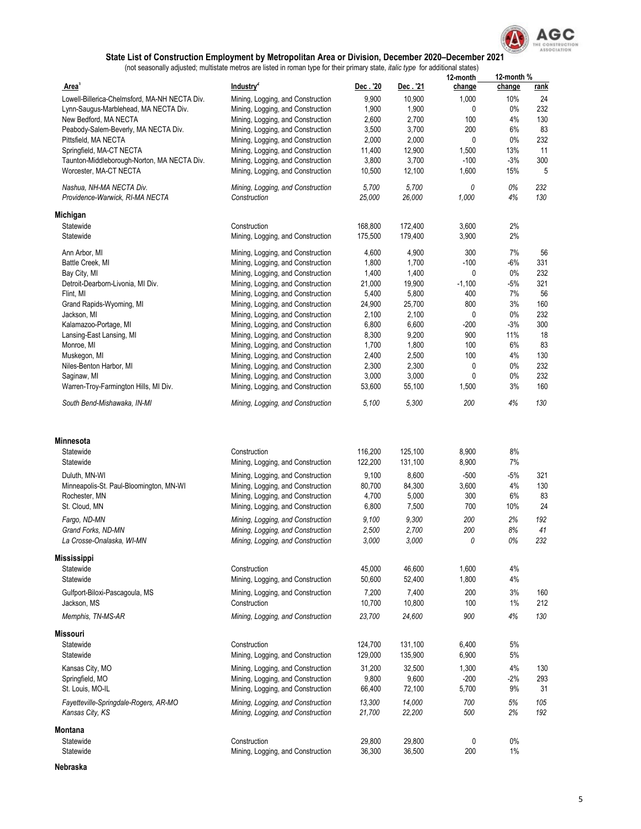

(not seasonally adjusted; multistate metros are listed in roman type for their primary state, *italic type* for additional states)

|                                               |                                   |          |          | 12-month | 12-month % |             |
|-----------------------------------------------|-----------------------------------|----------|----------|----------|------------|-------------|
| Area <sup>1</sup>                             | Industry <sup>2</sup>             | Dec. '20 | Dec. '21 | change   | change     | <u>rank</u> |
| Lowell-Billerica-Chelmsford, MA-NH NECTA Div. | Mining, Logging, and Construction | 9,900    | 10,900   | 1,000    | 10%        | 24          |
| Lynn-Saugus-Marblehead, MA NECTA Div.         | Mining, Logging, and Construction | 1,900    | 1,900    | 0        | $0\%$      | 232         |
| New Bedford, MA NECTA                         | Mining, Logging, and Construction | 2,600    | 2,700    | 100      | 4%         | 130         |
|                                               |                                   |          |          |          |            |             |
| Peabody-Salem-Beverly, MA NECTA Div.          | Mining, Logging, and Construction | 3,500    | 3,700    | 200      | 6%         | 83          |
| Pittsfield, MA NECTA                          | Mining, Logging, and Construction | 2,000    | 2,000    | 0        | 0%         | 232         |
| Springfield, MA-CT NECTA                      | Mining, Logging, and Construction | 11,400   | 12,900   | 1,500    | 13%        | 11          |
| Taunton-Middleborough-Norton, MA NECTA Div.   | Mining, Logging, and Construction | 3,800    | 3,700    | $-100$   | $-3%$      | 300         |
| Worcester, MA-CT NECTA                        | Mining, Logging, and Construction | 10,500   | 12,100   | 1,600    | 15%        | 5           |
|                                               |                                   |          |          |          |            |             |
| Nashua, NH-MA NECTA Div.                      | Mining, Logging, and Construction | 5,700    | 5,700    | 0        | 0%         | 232         |
| Providence-Warwick, RI-MA NECTA               | Construction                      | 25,000   | 26,000   | 1,000    | 4%         | 130         |
| Michigan                                      |                                   |          |          |          |            |             |
| Statewide                                     | Construction                      | 168,800  | 172,400  | 3,600    | 2%         |             |
| Statewide                                     | Mining, Logging, and Construction | 175,500  | 179,400  | 3,900    | 2%         |             |
|                                               |                                   |          |          |          |            |             |
| Ann Arbor, MI                                 | Mining, Logging, and Construction | 4,600    | 4,900    | 300      | 7%         | 56          |
| Battle Creek, MI                              | Mining, Logging, and Construction | 1,800    | 1,700    | $-100$   | -6%        | 331         |
| Bay City, MI                                  | Mining, Logging, and Construction | 1,400    | 1,400    | 0        | 0%         | 232         |
| Detroit-Dearborn-Livonia, MI Div.             | Mining, Logging, and Construction | 21,000   | 19,900   | $-1,100$ | $-5%$      | 321         |
| Flint, MI                                     | Mining, Logging, and Construction | 5,400    | 5,800    | 400      | 7%         | 56          |
|                                               |                                   |          |          |          |            |             |
| Grand Rapids-Wyoming, MI                      | Mining, Logging, and Construction | 24,900   | 25,700   | 800      | 3%         | 160         |
| Jackson, MI                                   | Mining, Logging, and Construction | 2,100    | 2,100    | 0        | $0\%$      | 232         |
| Kalamazoo-Portage, MI                         | Mining, Logging, and Construction | 6,800    | 6,600    | $-200$   | $-3%$      | 300         |
| Lansing-East Lansing, MI                      | Mining, Logging, and Construction | 8,300    | 9,200    | 900      | 11%        | 18          |
| Monroe, MI                                    | Mining, Logging, and Construction | 1,700    | 1,800    | 100      | 6%         | 83          |
| Muskegon, MI                                  | Mining, Logging, and Construction | 2,400    | 2,500    | 100      | 4%         | 130         |
| Niles-Benton Harbor, MI                       | Mining, Logging, and Construction | 2,300    | 2,300    | 0        | $0\%$      | 232         |
| Saqinaw, MI                                   |                                   |          | 3,000    | 0        | $0\%$      | 232         |
|                                               | Mining, Logging, and Construction | 3,000    |          |          |            |             |
| Warren-Troy-Farmington Hills, MI Div.         | Mining, Logging, and Construction | 53,600   | 55,100   | 1,500    | 3%         | 160         |
| South Bend-Mishawaka, IN-MI                   | Mining, Logging, and Construction | 5,100    | 5,300    | 200      | 4%         | 130         |
|                                               |                                   |          |          |          |            |             |
| <b>Minnesota</b>                              |                                   |          |          |          |            |             |
| Statewide                                     | Construction                      | 116,200  | 125,100  | 8,900    | 8%         |             |
| Statewide                                     | Mining, Logging, and Construction | 122,200  | 131,100  | 8,900    | 7%         |             |
| Duluth, MN-WI                                 | Mining, Logging, and Construction | 9,100    | 8,600    | $-500$   | $-5%$      | 321         |
| Minneapolis-St. Paul-Bloomington, MN-WI       | Mining, Logging, and Construction | 80,700   | 84,300   | 3,600    | 4%         | 130         |
| Rochester, MN                                 | Mining, Logging, and Construction | 4,700    | 5,000    | 300      | 6%         | 83          |
|                                               |                                   |          |          |          |            |             |
| St. Cloud, MN                                 | Mining, Logging, and Construction | 6,800    | 7,500    | 700      | 10%        | 24          |
| Fargo, ND-MN                                  | Mining, Logging, and Construction | 9,100    | 9,300    | 200      | 2%         | 192         |
| Grand Forks, ND-MN                            | Mining, Logging, and Construction | 2,500    | 2,700    | 200      | 8%         | 41          |
| La Crosse-Onalaska. WI-MN                     | Mining, Logging, and Construction | 3,000    | 3,000    | 0        | 0%         | 232         |
| <b>Mississippi</b>                            |                                   |          |          |          |            |             |
|                                               |                                   |          |          |          |            |             |
| Statewide                                     | Construction                      | 45,000   | 46,600   | 1,600    | 4%         |             |
| Statewide                                     | Mining, Logging, and Construction | 50,600   | 52,400   | 1,800    | 4%         |             |
| Gulfport-Biloxi-Pascagoula, MS                | Mining, Logging, and Construction | 7,200    | 7,400    | 200      | 3%         | 160         |
| Jackson, MS                                   | Construction                      | 10,700   | 10,800   | 100      | 1%         | 212         |
| Memphis, TN-MS-AR                             | Mining, Logging, and Construction | 23,700   | 24,600   | 900      | 4%         | 130         |
|                                               |                                   |          |          |          |            |             |
| <b>Missouri</b>                               |                                   |          |          |          |            |             |
| Statewide                                     | Construction                      | 124,700  | 131,100  | 6,400    | 5%         |             |
| Statewide                                     | Mining, Logging, and Construction | 129,000  | 135,900  | 6,900    | $5\%$      |             |
| Kansas City, MO                               | Mining, Logging, and Construction | 31,200   | 32,500   | 1,300    | $4\%$      | 130         |
|                                               |                                   |          |          |          |            |             |
| Springfield, MO                               | Mining, Logging, and Construction | 9,800    | 9,600    | $-200$   | $-2%$      | 293         |
| St. Louis, MO-IL                              | Mining, Logging, and Construction | 66,400   | 72,100   | 5,700    | 9%         | 31          |
| Fayetteville-Springdale-Rogers, AR-MO         | Mining, Logging, and Construction | 13,300   | 14,000   | 700      | 5%         | 105         |
| Kansas City, KS                               | Mining, Logging, and Construction | 21,700   | 22,200   | 500      | 2%         | 192         |
| Montana                                       |                                   |          |          |          |            |             |
| Statewide                                     | Construction                      | 29,800   | 29,800   | 0        | $0\%$      |             |
| Statewide                                     | Mining, Logging, and Construction | 36,300   | 36,500   | 200      | $1\%$      |             |
|                                               |                                   |          |          |          |            |             |

**Nebraska**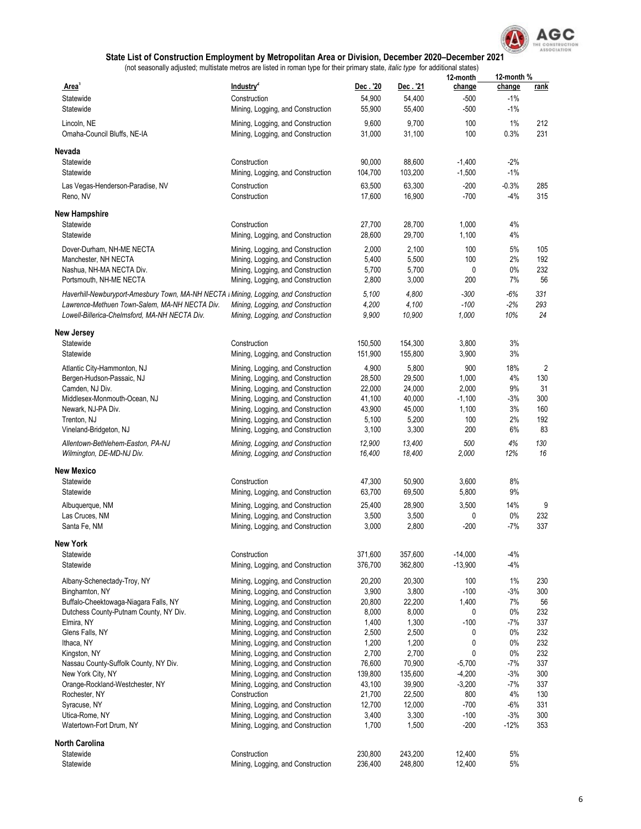

|                                                                                                |                                                                            |                    |                     | 12-month                 | 12-month %               |            |
|------------------------------------------------------------------------------------------------|----------------------------------------------------------------------------|--------------------|---------------------|--------------------------|--------------------------|------------|
| Area <sup>1</sup><br>Statewide<br>Statewide                                                    | Industry <sup>2</sup><br>Construction<br>Mining, Logging, and Construction | Dec.'20<br>54,900  | Dec . '21<br>54,400 | change<br>-500<br>$-500$ | change<br>$-1%$<br>$-1%$ | rank       |
|                                                                                                |                                                                            | 55,900             | 55,400              |                          |                          |            |
| Lincoln, NE<br>Omaha-Council Bluffs, NE-IA                                                     | Mining, Logging, and Construction<br>Mining, Logging, and Construction     | 9,600<br>31,000    | 9,700<br>31,100     | 100<br>100               | 1%<br>0.3%               | 212<br>231 |
| Nevada                                                                                         |                                                                            |                    |                     |                          |                          |            |
| Statewide<br>Statewide                                                                         | Construction<br>Mining, Logging, and Construction                          | 90,000<br>104,700  | 88,600<br>103,200   | $-1,400$<br>$-1,500$     | $-2%$<br>$-1%$           |            |
| Las Vegas-Henderson-Paradise, NV<br>Reno, NV                                                   | Construction<br>Construction                                               | 63,500<br>17,600   | 63,300<br>16,900    | $-200$<br>$-700$         | $-0.3%$<br>$-4%$         | 285<br>315 |
| <b>New Hampshire</b>                                                                           |                                                                            |                    |                     |                          |                          |            |
| Statewide                                                                                      | Construction                                                               | 27,700             | 28,700              | 1,000                    | 4%                       |            |
| Statewide                                                                                      | Mining, Logging, and Construction                                          | 28,600             | 29,700              | 1,100                    | 4%                       |            |
| Dover-Durham, NH-ME NECTA                                                                      | Mining, Logging, and Construction                                          | 2,000              | 2,100               | 100                      | 5%                       | 105        |
| Manchester, NH NECTA                                                                           | Mining, Logging, and Construction                                          | 5,400              | 5,500               | 100                      | 2%                       | 192        |
| Nashua, NH-MA NECTA Div.                                                                       | Mining, Logging, and Construction                                          | 5,700              | 5,700               | 0                        | 0%                       | 232        |
| Portsmouth, NH-ME NECTA                                                                        | Mining, Logging, and Construction                                          | 2,800              | 3,000               | 200                      | 7%                       | 56         |
| Haverhill-Newburyport-Amesbury Town, MA-NH NECTA I Mining, Logging, and Construction           |                                                                            | 5,100              | 4,800               | $-300$                   | -6%                      | 331        |
| Lawrence-Methuen Town-Salem, MA-NH NECTA Div.<br>Lowell-Billerica-Chelmsford, MA-NH NECTA Div. | Mining, Logging, and Construction<br>Mining, Logging, and Construction     | 4,200<br>9,900     | 4,100<br>10,900     | $-100$<br>1,000          | $-2%$<br>10%             | 293<br>24  |
| New Jersey                                                                                     |                                                                            |                    |                     |                          |                          |            |
| Statewide                                                                                      | Construction                                                               | 150,500            | 154,300             | 3,800                    | 3%                       |            |
| Statewide                                                                                      | Mining, Logging, and Construction                                          | 151,900            | 155,800             | 3,900                    | $3%$                     |            |
| Atlantic City-Hammonton, NJ                                                                    | Mining, Logging, and Construction                                          | 4,900              | 5,800               | 900                      | 18%                      | 2          |
| Bergen-Hudson-Passaic, NJ                                                                      | Mining, Logging, and Construction                                          | 28,500             | 29,500              | 1,000                    | 4%                       | 130        |
| Camden, NJ Div.                                                                                | Mining, Logging, and Construction                                          | 22,000             | 24,000              | 2,000                    | 9%                       | 31         |
| Middlesex-Monmouth-Ocean, NJ<br>Newark, NJ-PA Div.                                             | Mining, Logging, and Construction<br>Mining, Logging, and Construction     | 41,100<br>43,900   | 40,000<br>45,000    | $-1,100$<br>1,100        | $-3%$<br>3%              | 300<br>160 |
| Trenton, NJ                                                                                    | Mining, Logging, and Construction                                          | 5,100              | 5,200               | 100                      | 2%                       | 192        |
| Vineland-Bridgeton, NJ                                                                         | Mining, Logging, and Construction                                          | 3,100              | 3,300               | 200                      | 6%                       | 83         |
| Allentown-Bethlehem-Easton, PA-NJ                                                              | Mining, Logging, and Construction                                          | 12,900             | 13,400              | 500                      | 4%                       | 130        |
| Wilmington, DE-MD-NJ Div.                                                                      | Mining, Logging, and Construction                                          | 16,400             | 18,400              | 2,000                    | 12%                      | 16         |
| New Mexico<br>Statewide                                                                        | Construction                                                               | 47,300             | 50,900              | 3,600                    | 8%                       |            |
| Statewide                                                                                      | Mining, Logging, and Construction                                          | 63,700             | 69,500              | 5,800                    | 9%                       |            |
| Albuquerque, NM                                                                                | Mining, Logging, and Construction                                          | 25,400             | 28,900              | 3,500                    | 14%                      | 9          |
| Las Cruces, NM                                                                                 | Mining, Logging, and Construction                                          | 3,500              | 3,500               | 0                        | 0%                       | 232        |
| Santa Fe, NM                                                                                   | Mining, Logging, and Construction                                          | 3,000              | 2,800               | $-200$                   | $-7%$                    | 337        |
| New York                                                                                       |                                                                            |                    |                     |                          |                          |            |
| Statewide<br>Statewide                                                                         | Construction<br>Mining, Logging, and Construction                          | 371,600<br>376,700 | 357,600<br>362,800  | $-14,000$<br>$-13,900$   | $-4%$<br>$-4%$           |            |
| Albany-Schenectady-Troy, NY                                                                    | Mining, Logging, and Construction                                          | 20,200             | 20,300              | 100                      | 1%                       | 230        |
| Binghamton, NY                                                                                 | Mining, Logging, and Construction                                          | 3,900              | 3,800               | $-100$                   | $-3%$                    | 300        |
| Buffalo-Cheektowaga-Niagara Falls, NY                                                          | Mining, Logging, and Construction                                          | 20,800             | 22,200              | 1,400                    | 7%                       | 56         |
| Dutchess County-Putnam County, NY Div.<br>Elmira, NY                                           | Mining, Logging, and Construction<br>Mining, Logging, and Construction     | 8,000<br>1,400     | 8,000<br>1,300      | 0<br>$-100$              | 0%<br>$-7%$              | 232<br>337 |
| Glens Falls, NY                                                                                | Mining, Logging, and Construction                                          | 2,500              | 2,500               | 0                        | $0\%$                    | 232        |
| Ithaca, NY                                                                                     | Mining, Logging, and Construction                                          | 1,200              | 1,200               | 0                        | $0\%$                    | 232        |
| Kingston, NY                                                                                   | Mining, Logging, and Construction                                          | 2,700              | 2,700               | 0                        | $0\%$                    | 232        |
| Nassau County-Suffolk County, NY Div.                                                          | Mining, Logging, and Construction                                          | 76,600             | 70,900              | $-5,700$                 | $-7%$                    | 337        |
| New York City, NY                                                                              | Mining, Logging, and Construction                                          | 139,800            | 135,600             | $-4,200$                 | $-3%$                    | 300        |
| Orange-Rockland-Westchester, NY                                                                | Mining, Logging, and Construction                                          | 43,100             | 39,900              | $-3,200$                 | $-7%$                    | 337        |
| Rochester, NY<br>Syracuse, NY                                                                  | Construction<br>Mining, Logging, and Construction                          | 21,700<br>12,700   | 22,500<br>12,000    | 800<br>$-700$            | 4%<br>$-6%$              | 130<br>331 |
| Utica-Rome, NY                                                                                 | Mining, Logging, and Construction                                          | 3,400              | 3,300               | $-100$                   | $-3%$                    | 300        |
| Watertown-Fort Drum, NY                                                                        | Mining, Logging, and Construction                                          | 1,700              | 1,500               | $-200$                   | $-12%$                   | 353        |
| <b>North Carolina</b>                                                                          |                                                                            |                    |                     |                          |                          |            |
| Statewide                                                                                      | Construction                                                               | 230,800            | 243,200             | 12,400                   | 5%                       |            |
| Statewide                                                                                      | Mining, Logging, and Construction                                          | 236,400            | 248,800             | 12,400                   | 5%                       |            |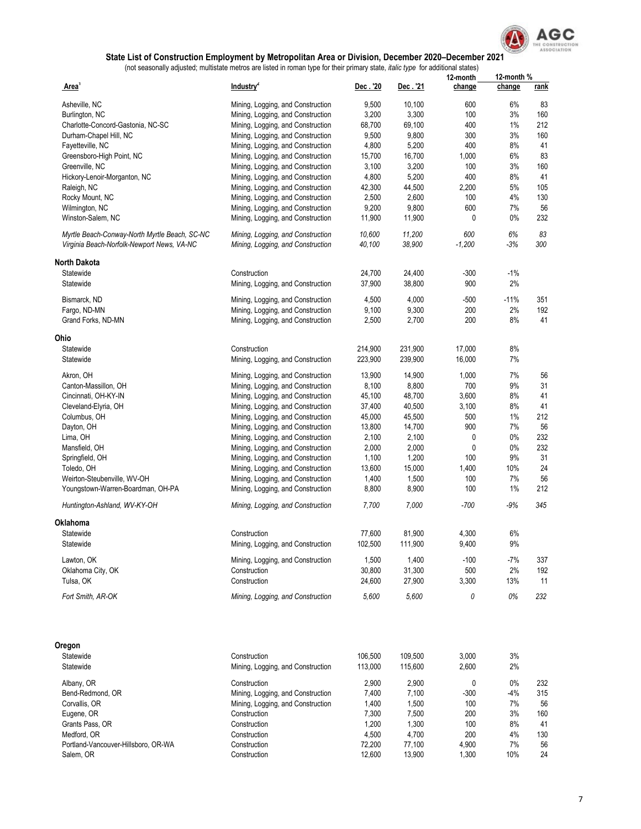

|                                               |                                   |                    |          | 12-month       | 12-month % |             |  |
|-----------------------------------------------|-----------------------------------|--------------------|----------|----------------|------------|-------------|--|
| Area <sup>'</sup>                             | Industry <sup>2</sup>             | Dec.'20            | Dec. '21 | change         | change     | <u>rank</u> |  |
| Asheville, NC                                 | Mining, Logging, and Construction | 9,500              | 10,100   | 600            | 6%         | 83          |  |
| Burlington, NC                                | Mining, Logging, and Construction | 3,200              | 3,300    | 100            | 3%         | 160         |  |
| Charlotte-Concord-Gastonia, NC-SC             | Mining, Logging, and Construction | 68,700             | 69,100   | 400            | 1%         | 212         |  |
| Durham-Chapel Hill, NC                        | Mining, Logging, and Construction | 9,500              | 9,800    | 300            | 3%         | 160         |  |
| Fayetteville, NC                              | Mining, Logging, and Construction | 4,800              | 5,200    | 400            | 8%         | 41          |  |
|                                               |                                   |                    |          | 1,000          | 6%         | 83          |  |
| Greensboro-High Point, NC                     | Mining, Logging, and Construction | 15,700             | 16,700   |                |            |             |  |
| Greenville, NC                                | Mining, Logging, and Construction | 3,100              | 3,200    | 100            | 3%         | 160         |  |
| Hickory-Lenoir-Morganton, NC                  | Mining, Logging, and Construction | 4,800              | 5,200    | 400            | 8%         | 41          |  |
| Raleigh, NC                                   | Mining, Logging, and Construction | 42,300             | 44,500   | 2,200          | 5%         | 105         |  |
| Rocky Mount, NC                               | Mining, Logging, and Construction | 2,500              | 2,600    | 100            | 4%         | 130         |  |
| Wilmington, NC                                | Mining, Logging, and Construction | 9,200              | 9,800    | 600            | 7%         | 56          |  |
| Winston-Salem, NC                             | Mining, Logging, and Construction | 11,900             | 11,900   | 0              | 0%         | 232         |  |
| Myrtle Beach-Conway-North Myrtle Beach, SC-NC | Mining, Logging, and Construction | 10,600             | 11,200   | 600            | 6%         | 83          |  |
| Virginia Beach-Norfolk-Newport News, VA-NC    | Mining, Logging, and Construction | 40,100             | 38,900   | $-1,200$       | $-3%$      | 300         |  |
| <b>North Dakota</b>                           |                                   |                    |          |                |            |             |  |
| Statewide                                     | Construction                      | 24,700             | 24,400   | -300           | $-1%$      |             |  |
| Statewide                                     | Mining, Logging, and Construction | 37,900             | 38,800   | 900            | 2%         |             |  |
|                                               |                                   |                    |          |                |            |             |  |
| Bismarck, ND                                  | Mining, Logging, and Construction | 4,500              | 4,000    | -500           | $-11%$     | 351         |  |
| Fargo, ND-MN                                  | Mining, Logging, and Construction | 9,100              | 9,300    | 200            | 2%         | 192         |  |
| Grand Forks, ND-MN                            | Mining, Logging, and Construction | 2,500              | 2,700    | 200            | 8%         | 41          |  |
| Ohio                                          |                                   |                    |          |                |            |             |  |
| Statewide                                     | Construction                      | 214,900            | 231,900  | 17,000         | 8%         |             |  |
| Statewide                                     | Mining, Logging, and Construction | 223,900            | 239,900  | 16,000         | 7%         |             |  |
| Akron, OH                                     | Mining, Logging, and Construction | 13,900             | 14,900   | 1,000          | 7%         | 56          |  |
| Canton-Massillon, OH                          | Mining, Logging, and Construction | 8,100              | 8,800    | 700            | 9%         | 31          |  |
| Cincinnati, OH-KY-IN                          | Mining, Logging, and Construction | 45,100             | 48,700   | 3,600          | 8%         | 41          |  |
| Cleveland-Elyria, OH                          | Mining, Logging, and Construction | 37,400             | 40,500   | 3,100          | 8%         | 41          |  |
| Columbus, OH                                  | Mining, Logging, and Construction | 45,000             | 45,500   | 500            | 1%         | 212         |  |
|                                               | Mining, Logging, and Construction | 13,800             | 14,700   | 900            | 7%         | 56          |  |
| Dayton, OH                                    |                                   |                    |          |                | 0%         | 232         |  |
| Lima, OH                                      | Mining, Logging, and Construction | 2,100              | 2,100    | 0              |            |             |  |
| Mansfield, OH                                 | Mining, Logging, and Construction | 2,000              | 2,000    | 0              | 0%         | 232         |  |
| Springfield, OH                               | Mining, Logging, and Construction | 1,100              | 1,200    | 100            | 9%         | 31          |  |
| Toledo, OH                                    | Mining, Logging, and Construction | 13,600             | 15,000   | 1,400          | 10%        | 24          |  |
| Weirton-Steubenville, WV-OH                   | Mining, Logging, and Construction | 1,400              | 1,500    | 100            | 7%         | 56          |  |
| Youngstown-Warren-Boardman, OH-PA             | Mining, Logging, and Construction | 8,800              | 8,900    | 100            | 1%         | 212         |  |
| Huntington-Ashland, WV-KY-OH                  | Mining, Logging, and Construction | 7,700              | 7,000    | $-700$         | -9%        | 345         |  |
| Oklahoma                                      |                                   |                    |          |                |            |             |  |
| Statewide                                     | Construction                      | 77,600             | 81,900   | 4,300          | 6%         |             |  |
| Statewide                                     | Mining, Logging, and Construction | 102,500            | 111,900  | 9,400          | $9\%$      |             |  |
| Lawton, OK                                    | Mining, Logging, and Construction | 1,500              | 1,400    | $-100$         | -7%        | 337         |  |
| Oklahoma City, OK                             | Construction                      | 30,800             | 31,300   | 500            | $2\%$      | 192         |  |
| Tulsa, OK                                     | Construction                      | 24,600             | 27,900   | 3,300          | 13%        | 11          |  |
|                                               |                                   |                    |          |                |            |             |  |
| Fort Smith, AR-OK                             | Mining, Logging, and Construction | 5,600              | 5,600    | 0              | 0%         | 232         |  |
| Oregon                                        |                                   |                    |          |                |            |             |  |
| Statewide                                     | Construction                      |                    | 109,500  |                | 3%         |             |  |
| Statewide                                     | Mining, Logging, and Construction | 106,500<br>113,000 | 115,600  | 3,000<br>2,600 | 2%         |             |  |
|                                               |                                   |                    |          |                |            |             |  |
| Albany, OR                                    | Construction                      | 2,900              | 2,900    | 0              | 0%         | 232         |  |
| Bend-Redmond, OR                              | Mining, Logging, and Construction | 7,400              | 7,100    | -300           | -4%        | 315         |  |
| Corvallis, OR                                 | Mining, Logging, and Construction | 1,400              | 1,500    | 100            | 7%         | 56          |  |
| Eugene, OR                                    | Construction                      | 7,300              | 7,500    | 200            | 3%         | 160         |  |
| Grants Pass, OR                               | Construction                      | 1,200              | 1,300    | 100            | 8%         | 41          |  |
| Medford, OR                                   | Construction                      | 4,500              | 4,700    | 200            | 4%         | 130         |  |
| Portland-Vancouver-Hillsboro, OR-WA           | Construction                      | 72,200             | 77,100   | 4,900          | 7%         | 56          |  |
| Salem, OR                                     | Construction                      | 12,600             | 13,900   | 1,300          | 10%        | 24          |  |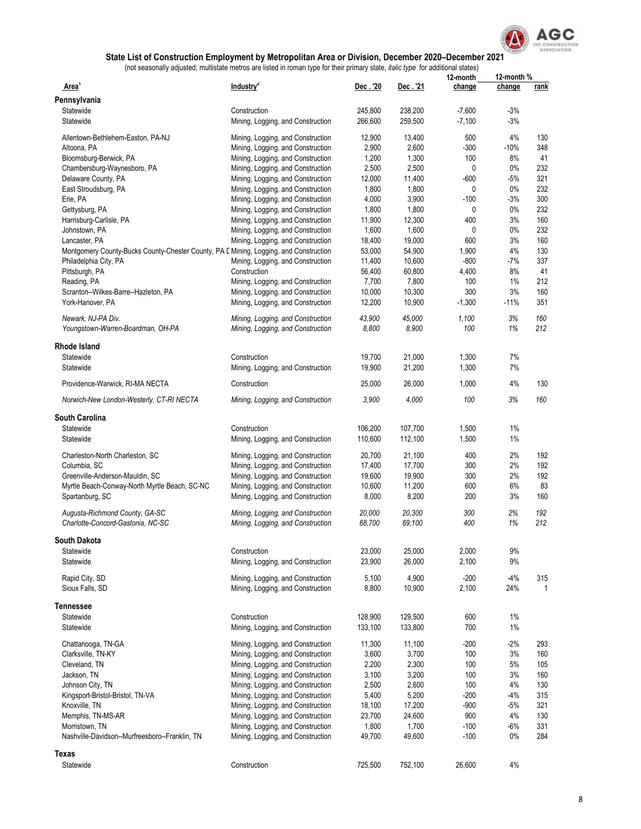

|                                                                                       |                                   |         |          | 12-month | 12-month % |              |
|---------------------------------------------------------------------------------------|-----------------------------------|---------|----------|----------|------------|--------------|
| Area <sup>1</sup>                                                                     | Industry <sup>2</sup>             | Dec.'20 | Dec. '21 | change   | change     | rank         |
| Pennsylvania                                                                          |                                   |         |          |          |            |              |
| Statewide                                                                             | Construction                      | 245,800 | 238,200  | $-7,600$ | $-3%$      |              |
| Statewide                                                                             | Mining, Logging, and Construction | 266,600 | 259,500  | $-7,100$ | $-3%$      |              |
| Allentown-Bethlehem-Easton, PA-NJ                                                     | Mining, Logging, and Construction | 12,900  | 13,400   | 500      | 4%         | 130          |
| Altoona, PA                                                                           | Mining, Logging, and Construction | 2,900   | 2,600    | $-300$   | $-10%$     | 348          |
| Bloomsburg-Berwick, PA                                                                | Mining, Logging, and Construction | 1,200   | 1,300    | 100      | 8%         | 41           |
|                                                                                       |                                   | 2,500   | 2,500    | 0        | $0\%$      | 232          |
| Chambersburg-Waynesboro, PA                                                           | Mining, Logging, and Construction |         |          |          |            |              |
| Delaware County, PA                                                                   | Mining, Logging, and Construction | 12,000  | 11,400   | $-600$   | $-5%$      | 321          |
| East Stroudsburg, PA                                                                  | Mining, Logging, and Construction | 1,800   | 1,800    | 0        | 0%         | 232          |
| Erie, PA                                                                              | Mining, Logging, and Construction | 4,000   | 3,900    | $-100$   | $-3%$      | 300          |
| Gettysburg, PA                                                                        | Mining, Logging, and Construction | 1,800   | 1,800    | 0        | 0%         | 232          |
| Harrisburg-Carlisle, PA                                                               | Mining, Logging, and Construction | 11,900  | 12,300   | 400      | 3%         | 160          |
| Johnstown, PA                                                                         | Mining, Logging, and Construction | 1,600   | 1,600    | 0        | 0%         | 232          |
| Lancaster, PA                                                                         | Mining, Logging, and Construction | 18,400  | 19,000   | 600      | 3%         | 160          |
| Montgomery County-Bucks County-Chester County, PA E Mining, Logging, and Construction |                                   | 53,000  | 54,900   | 1,900    | 4%         | 130          |
| Philadelphia City, PA                                                                 | Mining, Logging, and Construction | 11,400  | 10,600   | $-800$   | -7%        | 337          |
| Pittsburgh, PA                                                                        | Construction                      | 56,400  | 60,800   | 4,400    | 8%         | 41           |
| Reading, PA                                                                           | Mining, Logging, and Construction | 7,700   | 7,800    | 100      | 1%         | 212          |
| Scranton--Wilkes-Barre--Hazleton, PA                                                  | Mining, Logging, and Construction | 10,000  | 10,300   | 300      | 3%         | 160          |
| York-Hanover, PA                                                                      | Mining, Logging, and Construction | 12,200  | 10,900   | $-1,300$ | $-11%$     | 351          |
|                                                                                       |                                   |         |          |          |            |              |
| Newark, NJ-PA Div.                                                                    | Mining, Logging, and Construction | 43,900  | 45,000   | 1,100    | 3%         | 160          |
| Youngstown-Warren-Boardman, OH-PA                                                     | Mining, Logging, and Construction | 8,800   | 8,900    | 100      | 1%         | 212          |
| Rhode Island                                                                          |                                   |         |          |          |            |              |
| Statewide                                                                             | Construction                      | 19,700  | 21.000   | 1,300    | 7%         |              |
| Statewide                                                                             | Mining, Logging, and Construction | 19,900  | 21,200   | 1,300    | 7%         |              |
|                                                                                       |                                   |         |          |          |            |              |
| Providence-Warwick, RI-MA NECTA                                                       | Construction                      | 25,000  | 26,000   | 1,000    | 4%         | 130          |
| Norwich-New London-Westerly, CT-RI NECTA                                              | Mining, Logging, and Construction | 3,900   | 4,000    | 100      | 3%         | 160          |
| <b>South Carolina</b>                                                                 |                                   |         |          |          |            |              |
| Statewide                                                                             | Construction                      | 106,200 | 107,700  | 1,500    | $1\%$      |              |
| Statewide                                                                             | Mining, Logging, and Construction | 110,600 | 112,100  | 1,500    | $1\%$      |              |
|                                                                                       |                                   |         |          |          | 2%         |              |
| Charleston-North Charleston, SC                                                       | Mining, Logging, and Construction | 20,700  | 21,100   | 400      |            | 192          |
| Columbia, SC                                                                          | Mining, Logging, and Construction | 17,400  | 17,700   | 300      | 2%         | 192          |
| Greenville-Anderson-Mauldin, SC                                                       | Mining, Logging, and Construction | 19,600  | 19,900   | 300      | 2%         | 192          |
| Myrtle Beach-Conway-North Myrtle Beach, SC-NC                                         | Mining, Logging, and Construction | 10,600  | 11,200   | 600      | 6%         | 83           |
| Spartanburg, SC                                                                       | Mining, Logging, and Construction | 8,000   | 8,200    | 200      | 3%         | 160          |
| Augusta-Richmond County, GA-SC                                                        | Mining, Logging, and Construction | 20,000  | 20,300   | 300      | 2%         | 192          |
| Charlotte-Concord-Gastonia, NC-SC                                                     | Mining, Logging, and Construction | 68,700  | 69,100   | 400      | 1%         | 212          |
| South Dakota                                                                          |                                   |         |          |          |            |              |
| Statewide                                                                             | Construction                      | 23,000  | 25,000   | 2,000    | 9%         |              |
| Statewide                                                                             | Mining, Logging, and Construction | 23,900  | 26,000   | 2,100    | 9%         |              |
|                                                                                       |                                   |         |          |          |            |              |
| Rapid City, SD                                                                        | Mining, Logging, and Construction | 5,100   | 4,900    | $-200$   | $-4%$      | 315          |
| Sioux Falls, SD                                                                       | Mining, Logging, and Construction | 8,800   | 10,900   | 2,100    | 24%        | $\mathbf{1}$ |
| Tennessee                                                                             |                                   |         |          |          |            |              |
| Statewide                                                                             | Construction                      | 128,900 | 129,500  | 600      | $1\%$      |              |
| Statewide                                                                             | Mining, Logging, and Construction | 133,100 | 133,800  | 700      | $1\%$      |              |
|                                                                                       |                                   |         |          |          |            |              |
| Chattanooga, TN-GA                                                                    | Mining, Logging, and Construction | 11,300  | 11,100   | $-200$   | $-2%$      | 293          |
| Clarksville, TN-KY                                                                    | Mining, Logging, and Construction | 3,600   | 3,700    | 100      | 3%         | 160          |
| Cleveland, TN                                                                         | Mining, Logging, and Construction | 2,200   | 2,300    | 100      | $5%$       | 105          |
| Jackson, TN                                                                           | Mining, Logging, and Construction | 3,100   | 3,200    | 100      | 3%         | 160          |
| Johnson City, TN                                                                      | Mining, Logging, and Construction | 2,500   | 2,600    | 100      | 4%         | 130          |
| Kingsport-Bristol-Bristol, TN-VA                                                      | Mining, Logging, and Construction | 5,400   | 5,200    | $-200$   | $-4%$      | 315          |
| Knoxville, TN                                                                         | Mining, Logging, and Construction | 18,100  | 17,200   | $-900$   | $-5%$      | 321          |
| Memphis, TN-MS-AR                                                                     | Mining, Logging, and Construction | 23,700  | 24,600   | 900      | 4%         | 130          |
| Morristown, TN                                                                        | Mining, Logging, and Construction | 1,800   | 1,700    | $-100$   | $-6%$      | 331          |
| Nashville-Davidson--Murfreesboro--Franklin, TN                                        | Mining, Logging, and Construction | 49,700  | 49,600   | $-100$   | 0%         | 284          |
| Texas                                                                                 |                                   |         |          |          |            |              |
| Statewide                                                                             | Construction                      | 725,500 | 752,100  | 26,600   | 4%         |              |
|                                                                                       |                                   |         |          |          |            |              |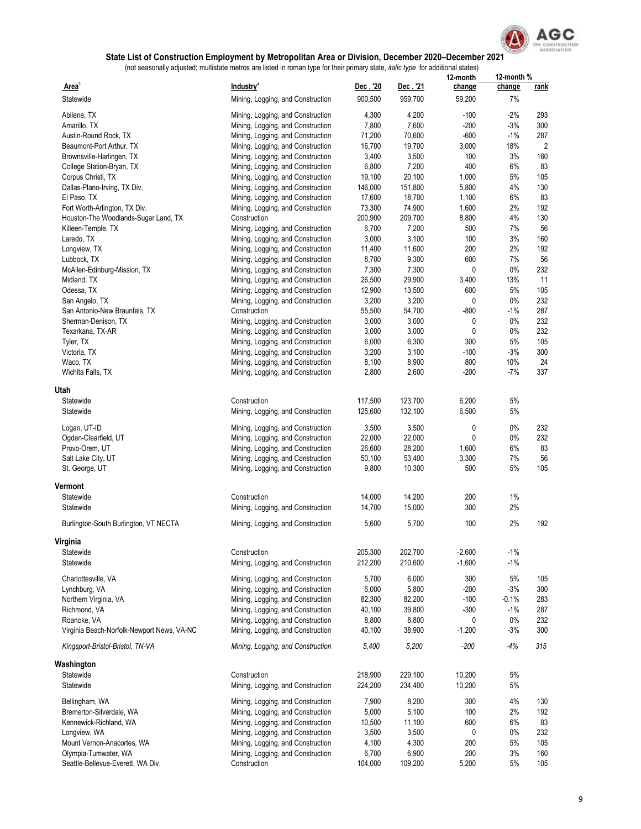

|                                            |                                   |          |          | 12-month | 12-month % |                |
|--------------------------------------------|-----------------------------------|----------|----------|----------|------------|----------------|
| Area <sup>1</sup>                          | Industry <sup>2</sup>             | Dec. '20 | Dec. '21 | change   | change     | <u>rank</u>    |
| Statewide                                  | Mining, Logging, and Construction | 900,500  | 959,700  | 59,200   | 7%         |                |
|                                            |                                   |          |          |          |            |                |
| Abilene, TX                                | Mining, Logging, and Construction | 4,300    | 4,200    | $-100$   | $-2%$      | 293            |
| Amarillo, TX                               | Mining, Logging, and Construction | 7,800    | 7,600    | $-200$   | $-3%$      | 300            |
| Austin-Round Rock, TX                      | Mining, Logging, and Construction | 71,200   | 70,600   | $-600$   | $-1%$      | 287            |
| Beaumont-Port Arthur, TX                   | Mining, Logging, and Construction | 16,700   | 19,700   | 3,000    | 18%        | $\overline{2}$ |
| Brownsville-Harlingen, TX                  | Mining, Logging, and Construction | 3,400    | 3,500    | 100      | 3%         | 160            |
| College Station-Bryan, TX                  | Mining, Logging, and Construction | 6,800    | 7,200    | 400      | 6%         | 83             |
| Corpus Christi, TX                         | Mining, Logging, and Construction | 19,100   | 20,100   | 1,000    | 5%         | 105            |
| Dallas-Plano-Irving, TX Div.               | Mining, Logging, and Construction | 146,000  | 151,800  | 5,800    | 4%         | 130            |
| El Paso, TX                                | Mining, Logging, and Construction | 17,600   | 18,700   | 1,100    | 6%         | 83             |
| Fort Worth-Arlington, TX Div.              | Mining, Logging, and Construction | 73,300   | 74,900   | 1,600    | 2%         | 192            |
| Houston-The Woodlands-Sugar Land, TX       | Construction                      | 200,900  | 209,700  | 8,800    | 4%         | 130            |
| Killeen-Temple, TX                         |                                   | 6,700    | 7,200    | 500      | 7%         | 56             |
|                                            | Mining, Logging, and Construction |          |          |          |            |                |
| Laredo, TX                                 | Mining, Logging, and Construction | 3,000    | 3,100    | 100      | 3%         | 160            |
| Longview, TX                               | Mining, Logging, and Construction | 11,400   | 11,600   | 200      | 2%         | 192            |
| Lubbock, TX                                | Mining, Logging, and Construction | 8,700    | 9,300    | 600      | 7%         | 56             |
| McAllen-Edinburg-Mission, TX               | Mining, Logging, and Construction | 7,300    | 7,300    | 0        | 0%         | 232            |
| Midland, TX                                | Mining, Logging, and Construction | 26,500   | 29,900   | 3,400    | 13%        | 11             |
| Odessa, TX                                 | Mining, Logging, and Construction | 12,900   | 13,500   | 600      | 5%         | 105            |
| San Angelo, TX                             | Mining, Logging, and Construction | 3,200    | 3,200    | 0        | 0%         | 232            |
| San Antonio-New Braunfels, TX              | Construction                      | 55,500   | 54,700   | -800     | $-1%$      | 287            |
| Sherman-Denison, TX                        | Mining, Logging, and Construction | 3,000    | 3,000    | 0        | 0%         | 232            |
| Texarkana, TX-AR                           | Mining, Logging, and Construction | 3,000    | 3,000    | 0        | 0%         | 232            |
| Tyler, TX                                  | Mining, Logging, and Construction | 6,000    | 6,300    | 300      | $5\%$      | 105            |
| Victoria, TX                               | Mining, Logging, and Construction | 3,200    | 3,100    | -100     | $-3%$      | 300            |
|                                            | Mining, Logging, and Construction | 8,100    |          | 800      | 10%        | 24             |
| Waco, TX                                   |                                   |          | 8,900    |          |            |                |
| Wichita Falls, TX                          | Mining, Logging, and Construction | 2,800    | 2,600    | -200     | $-7%$      | 337            |
| Utah                                       |                                   |          |          |          |            |                |
| Statewide                                  | Construction                      |          | 123,700  | 6,200    | 5%         |                |
|                                            |                                   | 117,500  |          |          |            |                |
| Statewide                                  | Mining, Logging, and Construction | 125,600  | 132,100  | 6,500    | 5%         |                |
| Logan, UT-ID                               | Mining, Logging, and Construction | 3,500    | 3,500    | 0        | 0%         | 232            |
| Ogden-Clearfield, UT                       | Mining, Logging, and Construction | 22,000   | 22,000   | 0        | 0%         | 232            |
| Provo-Orem, UT                             | Mining, Logging, and Construction | 26,600   | 28,200   | 1,600    | 6%         | 83             |
|                                            |                                   |          |          |          |            |                |
| Salt Lake City, UT                         | Mining, Logging, and Construction | 50,100   | 53,400   | 3,300    | 7%         | 56             |
| St. George, UT                             | Mining, Logging, and Construction | 9,800    | 10,300   | 500      | 5%         | 105            |
| Vermont                                    |                                   |          |          |          |            |                |
| Statewide                                  |                                   | 14,000   | 14,200   | 200      | 1%         |                |
|                                            | Construction                      |          |          |          |            |                |
| Statewide                                  | Mining, Logging, and Construction | 14,700   | 15,000   | 300      | 2%         |                |
| Burlington-South Burlington, VT NECTA      | Mining, Logging, and Construction | 5,600    | 5,700    | 100      | 2%         | 192            |
|                                            |                                   |          |          |          |            |                |
| Virginia                                   |                                   |          |          |          |            |                |
| Statewide                                  | Construction                      | 205,300  | 202,700  | $-2,600$ | $-1%$      |                |
| Statewide                                  | Mining, Logging, and Construction | 212,200  | 210,600  | $-1,600$ | $-1%$      |                |
|                                            |                                   |          |          |          |            |                |
| Charlottesville, VA                        | Mining, Logging, and Construction | 5,700    | 6,000    | 300      | $5%$       | 105            |
| Lynchburg, VA                              | Mining, Logging, and Construction | 6,000    | 5,800    | -200     | $-3%$      | 300            |
| Northern Virginia, VA                      | Mining, Logging, and Construction | 82,300   | 82,200   | $-100$   | $-0.1%$    | 283            |
| Richmond, VA                               | Mining, Logging, and Construction | 40,100   | 39,800   | -300     | $-1\%$     | 287            |
| Roanoke, VA                                | Mining, Logging, and Construction | 8,800    | 8,800    | 0        | 0%         | 232            |
| Virginia Beach-Norfolk-Newport News, VA-NC | Mining, Logging, and Construction | 40,100   | 38,900   | $-1,200$ | $-3%$      | 300            |
|                                            |                                   |          |          |          |            |                |
| Kingsport-Bristol-Bristol, TN-VA           | Mining, Logging, and Construction | 5,400    | 5,200    | $-200$   | -4%        | 315            |
|                                            |                                   |          |          |          |            |                |
| Washington                                 |                                   |          |          |          |            |                |
| Statewide                                  | Construction                      | 218,900  | 229,100  | 10,200   | 5%         |                |
| Statewide                                  | Mining, Logging, and Construction | 224,200  | 234,400  | 10,200   | 5%         |                |
|                                            |                                   |          |          |          |            |                |
| Bellingham, WA                             | Mining, Logging, and Construction | 7,900    | 8,200    | 300      | 4%         | 130            |
| Bremerton-Silverdale, WA                   | Mining, Logging, and Construction | 5,000    | 5,100    | 100      | 2%         | 192            |
| Kennewick-Richland, WA                     | Mining, Logging, and Construction | 10,500   | 11,100   | 600      | 6%         | 83             |
| Longview, WA                               | Mining, Logging, and Construction | 3,500    | 3,500    | 0        | 0%         | 232            |
| Mount Vernon-Anacortes, WA                 | Mining, Logging, and Construction | 4,100    | 4,300    | 200      | 5%         | 105            |
| Olympia-Tumwater, WA                       | Mining, Logging, and Construction | 6,700    | 6,900    | 200      | 3%         | 160            |
| Seattle-Bellevue-Everett, WA Div.          | Construction                      | 104,000  | 109,200  | 5,200    | 5%         | 105            |
|                                            |                                   |          |          |          |            |                |